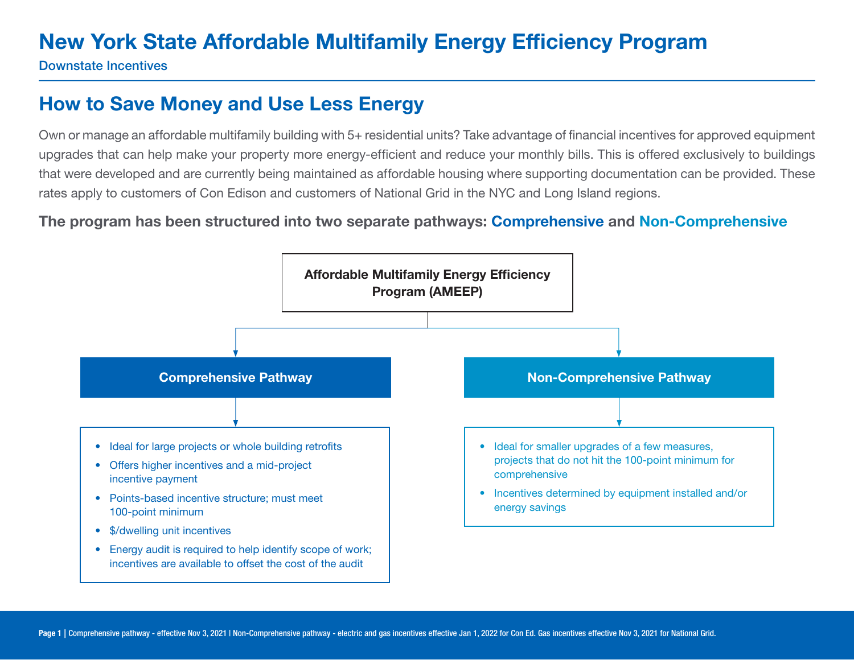Downstate Incentives

### How to Save Money and Use Less Energy

Own or manage an affordable multifamily building with 5+ residential units? Take advantage of financial incentives for approved equipment upgrades that can help make your property more energy-efficient and reduce your monthly bills. This is offered exclusively to buildings that were developed and are currently being maintained as affordable housing where supporting documentation can be provided. These rates apply to customers of Con Edison and customers of National Grid in the NYC and Long Island regions.

#### The program has been structured into two separate pathways: Comprehensive and Non-Comprehensive

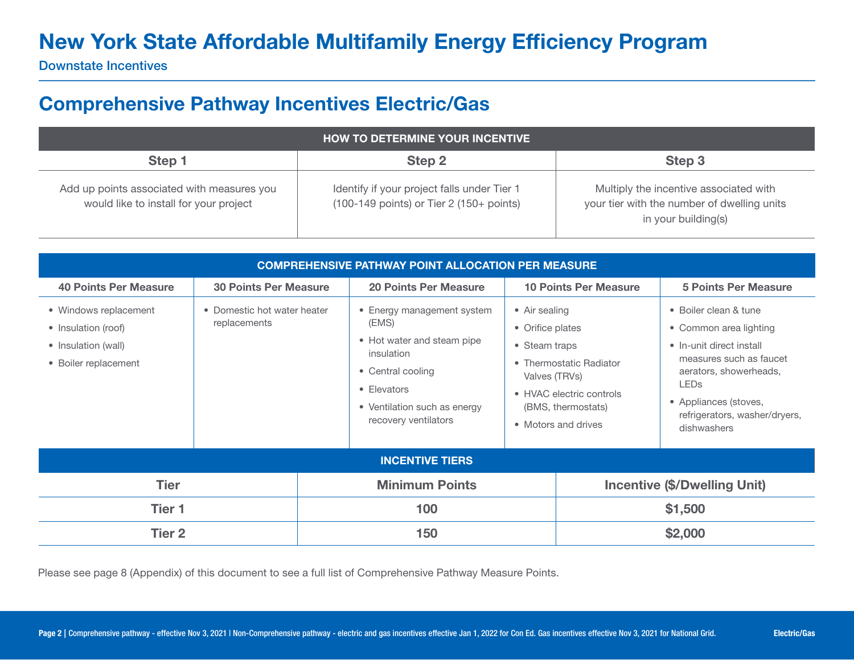Downstate Incentives

### Comprehensive Pathway Incentives Electric/Gas

| <b>HOW TO DETERMINE YOUR INCENTIVE.</b>                                              |                                                                                                           |                                                                                                              |  |  |
|--------------------------------------------------------------------------------------|-----------------------------------------------------------------------------------------------------------|--------------------------------------------------------------------------------------------------------------|--|--|
| Step 1                                                                               | Step 2                                                                                                    | Step 3                                                                                                       |  |  |
| Add up points associated with measures you<br>would like to install for your project | Identify if your project falls under Tier 1<br>$(100-149 \text{ points})$ or Tier 2 $(150+\text{points})$ | Multiply the incentive associated with<br>your tier with the number of dwelling units<br>in your building(s) |  |  |

| <b>COMPREHENSIVE PATHWAY POINT ALLOCATION PER MEASURE</b>                                                                                  |                              |                                                                                                                                                                             |                                                                                                                                                                                        |                                     |                                                                                                                                                                                                           |
|--------------------------------------------------------------------------------------------------------------------------------------------|------------------------------|-----------------------------------------------------------------------------------------------------------------------------------------------------------------------------|----------------------------------------------------------------------------------------------------------------------------------------------------------------------------------------|-------------------------------------|-----------------------------------------------------------------------------------------------------------------------------------------------------------------------------------------------------------|
| <b>40 Points Per Measure</b>                                                                                                               | <b>30 Points Per Measure</b> | <b>20 Points Per Measure</b>                                                                                                                                                |                                                                                                                                                                                        | <b>10 Points Per Measure</b>        | <b>5 Points Per Measure</b>                                                                                                                                                                               |
| • Windows replacement<br>• Domestic hot water heater<br>replacements<br>• Insulation (roof)<br>• Insulation (wall)<br>• Boiler replacement |                              | • Energy management system<br>(EMS)<br>• Hot water and steam pipe<br>insulation<br>• Central cooling<br>• Elevators<br>• Ventilation such as energy<br>recovery ventilators | • Air sealing<br>• Orifice plates<br>• Steam traps<br>• Thermostatic Radiator<br>Valves (TRVs)<br><b>LEDs</b><br>• HVAC electric controls<br>(BMS, thermostats)<br>• Motors and drives |                                     | • Boiler clean & tune<br>• Common area lighting<br>• In-unit direct install<br>measures such as faucet<br>aerators, showerheads,<br>• Appliances (stoves,<br>refrigerators, washer/dryers,<br>dishwashers |
|                                                                                                                                            |                              | <b>INCENTIVE TIERS</b>                                                                                                                                                      |                                                                                                                                                                                        |                                     |                                                                                                                                                                                                           |
| <b>Tier</b>                                                                                                                                |                              | <b>Minimum Points</b>                                                                                                                                                       |                                                                                                                                                                                        | <b>Incentive (\$/Dwelling Unit)</b> |                                                                                                                                                                                                           |
| Tier 1                                                                                                                                     |                              | 100                                                                                                                                                                         |                                                                                                                                                                                        |                                     | \$1,500                                                                                                                                                                                                   |
| Tier <sub>2</sub>                                                                                                                          |                              | \$2,000<br>150                                                                                                                                                              |                                                                                                                                                                                        |                                     |                                                                                                                                                                                                           |

Please see page 8 (Appendix) of this document to see a full list of Comprehensive Pathway Measure Points.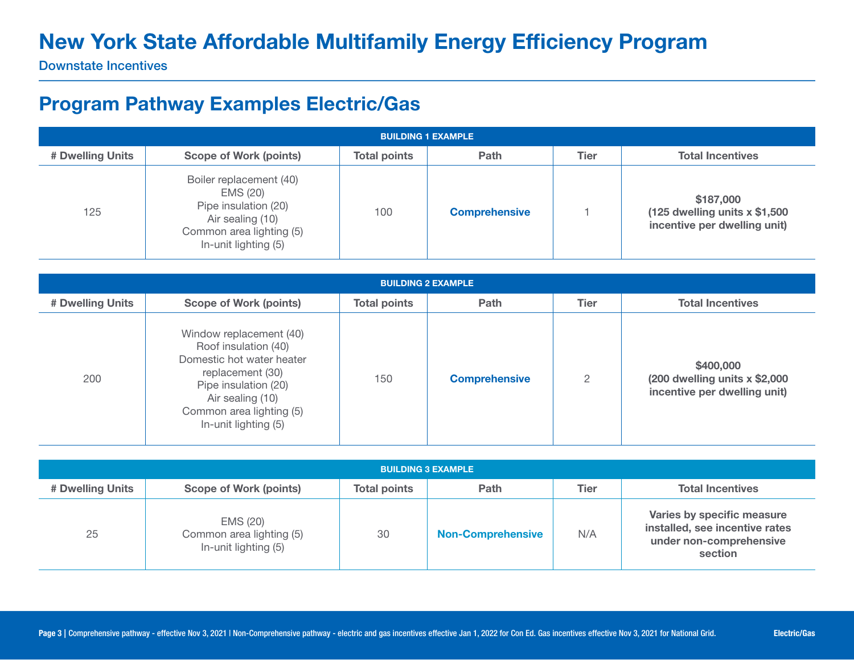Downstate Incentives

#### Program Pathway Examples Electric/Gas

| <b>BUILDING 1 EXAMPLE</b> |                                                                                                                                     |                     |                      |             |                                                                              |
|---------------------------|-------------------------------------------------------------------------------------------------------------------------------------|---------------------|----------------------|-------------|------------------------------------------------------------------------------|
| # Dwelling Units          | Scope of Work (points)                                                                                                              | <b>Total points</b> | Path                 | <b>Tier</b> | <b>Total Incentives</b>                                                      |
| 125                       | Boiler replacement (40)<br>EMS (20)<br>Pipe insulation (20)<br>Air sealing (10)<br>Common area lighting (5)<br>In-unit lighting (5) | 100                 | <b>Comprehensive</b> |             | \$187,000<br>(125 dwelling units $x$ \$1,500<br>incentive per dwelling unit) |

| <b>BUILDING 2 EXAMPLE</b> |                                                                                                                                                                                                  |                     |                      |                |                                                                              |  |
|---------------------------|--------------------------------------------------------------------------------------------------------------------------------------------------------------------------------------------------|---------------------|----------------------|----------------|------------------------------------------------------------------------------|--|
| # Dwelling Units          | <b>Scope of Work (points)</b>                                                                                                                                                                    | <b>Total points</b> | Path                 | <b>Tier</b>    | <b>Total Incentives</b>                                                      |  |
| 200                       | Window replacement (40)<br>Roof insulation (40)<br>Domestic hot water heater<br>replacement (30)<br>Pipe insulation (20)<br>Air sealing (10)<br>Common area lighting (5)<br>In-unit lighting (5) | 150                 | <b>Comprehensive</b> | $\overline{2}$ | \$400,000<br>(200 dwelling units $x$ \$2,000<br>incentive per dwelling unit) |  |

| <b>BUILDING 3 EXAMPLE</b> |                                                              |                     |                          |      |                                                                                                    |
|---------------------------|--------------------------------------------------------------|---------------------|--------------------------|------|----------------------------------------------------------------------------------------------------|
| # Dwelling Units          | <b>Scope of Work (points)</b>                                | <b>Total points</b> | Path                     | Tier | <b>Total Incentives</b>                                                                            |
| 25                        | EMS (20)<br>Common area lighting (5)<br>In-unit lighting (5) | 30                  | <b>Non-Comprehensive</b> | N/A  | Varies by specific measure<br>installed, see incentive rates<br>under non-comprehensive<br>section |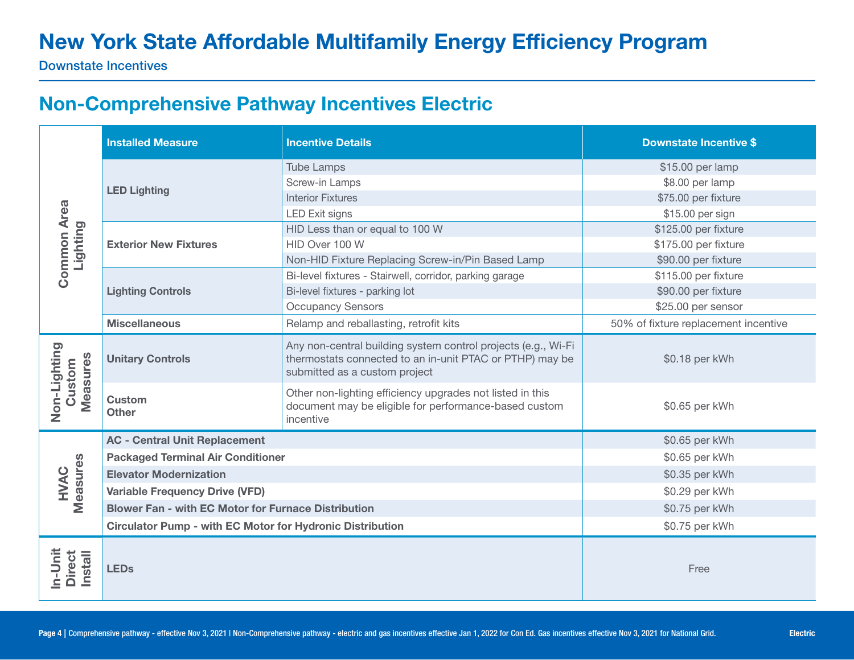Downstate Incentives

#### Non-Comprehensive Pathway Incentives Electric

|                                            | <b>Installed Measure</b>                                         | <b>Incentive Details</b>                                                                                                                                   | <b>Downstate Incentive \$</b>        |
|--------------------------------------------|------------------------------------------------------------------|------------------------------------------------------------------------------------------------------------------------------------------------------------|--------------------------------------|
|                                            |                                                                  | <b>Tube Lamps</b>                                                                                                                                          | \$15.00 per lamp                     |
|                                            |                                                                  | Screw-in Lamps                                                                                                                                             | \$8.00 per lamp                      |
|                                            | <b>LED Lighting</b>                                              | <b>Interior Fixtures</b>                                                                                                                                   | \$75.00 per fixture                  |
| <b>Common Area</b>                         |                                                                  | <b>LED Exit signs</b>                                                                                                                                      | \$15.00 per sign                     |
| Lighting                                   |                                                                  | HID Less than or equal to 100 W                                                                                                                            | \$125.00 per fixture                 |
|                                            | <b>Exterior New Fixtures</b>                                     | HID Over 100 W                                                                                                                                             | \$175.00 per fixture                 |
|                                            |                                                                  | Non-HID Fixture Replacing Screw-in/Pin Based Lamp                                                                                                          | \$90.00 per fixture                  |
|                                            |                                                                  | Bi-level fixtures - Stairwell, corridor, parking garage                                                                                                    | \$115.00 per fixture                 |
|                                            | <b>Lighting Controls</b>                                         | Bi-level fixtures - parking lot                                                                                                                            | \$90.00 per fixture                  |
|                                            |                                                                  | <b>Occupancy Sensors</b>                                                                                                                                   | \$25.00 per sensor                   |
|                                            | <b>Miscellaneous</b>                                             | Relamp and reballasting, retrofit kits                                                                                                                     | 50% of fixture replacement incentive |
|                                            | <b>Unitary Controls</b>                                          | Any non-central building system control projects (e.g., Wi-Fi<br>thermostats connected to an in-unit PTAC or PTHP) may be<br>submitted as a custom project | \$0.18 per kWh                       |
| Non-Lighting<br><b>Measures</b><br>Custom  | <b>Custom</b><br><b>Other</b>                                    | Other non-lighting efficiency upgrades not listed in this<br>document may be eligible for performance-based custom<br>incentive                            | \$0.65 per kWh                       |
|                                            | <b>AC - Central Unit Replacement</b>                             |                                                                                                                                                            | \$0.65 per kWh                       |
|                                            | <b>Packaged Terminal Air Conditioner</b>                         |                                                                                                                                                            | \$0.65 per kWh                       |
|                                            | <b>Elevator Modernization</b>                                    | \$0.35 per kWh                                                                                                                                             |                                      |
| Measures<br>HVAC                           | <b>Variable Frequency Drive (VFD)</b>                            |                                                                                                                                                            | \$0.29 per kWh                       |
|                                            | <b>Blower Fan - with EC Motor for Furnace Distribution</b>       | \$0.75 per kWh                                                                                                                                             |                                      |
|                                            | <b>Circulator Pump - with EC Motor for Hydronic Distribution</b> |                                                                                                                                                            | \$0.75 per kWh                       |
| In-Unit<br><b>Direct</b><br><b>Install</b> | <b>LEDs</b>                                                      |                                                                                                                                                            | Free                                 |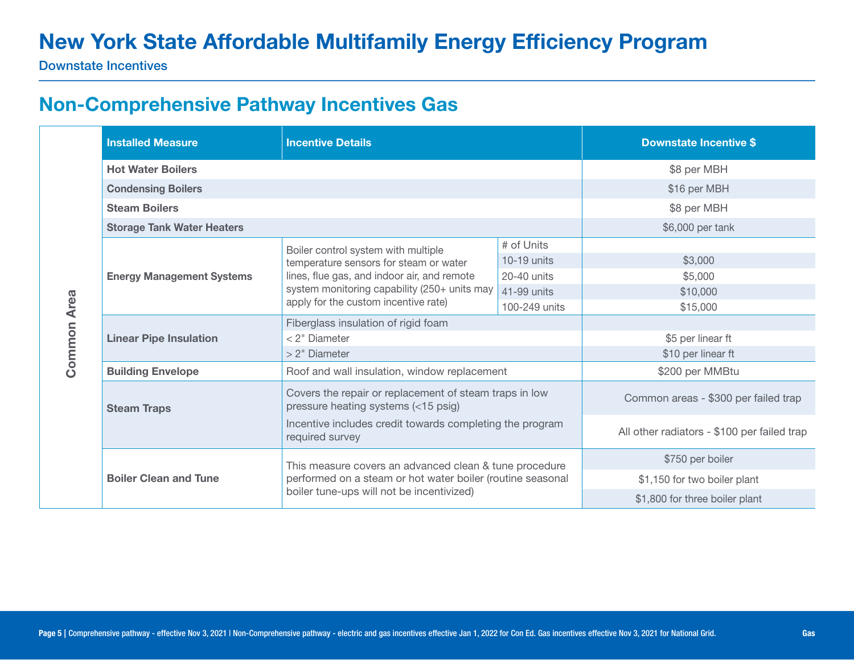Downstate Incentives

#### Non-Comprehensive Pathway Incentives Gas

|             | <b>Installed Measure</b>          | <b>Incentive Details</b>                                                                                |                   | <b>Downstate Incentive \$</b>               |
|-------------|-----------------------------------|---------------------------------------------------------------------------------------------------------|-------------------|---------------------------------------------|
|             | <b>Hot Water Boilers</b>          |                                                                                                         |                   | \$8 per MBH                                 |
|             | <b>Condensing Boilers</b>         |                                                                                                         |                   |                                             |
|             | <b>Steam Boilers</b>              |                                                                                                         |                   | \$8 per MBH                                 |
|             | <b>Storage Tank Water Heaters</b> |                                                                                                         |                   | \$6,000 per tank                            |
|             |                                   | # of Units<br>Boiler control system with multiple                                                       |                   |                                             |
|             |                                   | temperature sensors for steam or water                                                                  | $10-19$ units     | \$3,000                                     |
|             | <b>Energy Management Systems</b>  | lines, flue gas, and indoor air, and remote                                                             | 20-40 units       | \$5,000                                     |
|             |                                   | system monitoring capability (250+ units may<br>apply for the custom incentive rate)                    | 41-99 units       | \$10,000                                    |
| <b>Area</b> |                                   |                                                                                                         | 100-249 units     | \$15,000                                    |
|             |                                   | Fiberglass insulation of rigid foam                                                                     |                   |                                             |
|             | <b>Linear Pipe Insulation</b>     | < 2" Diameter                                                                                           | \$5 per linear ft |                                             |
| Common      |                                   | > 2" Diameter                                                                                           |                   | \$10 per linear ft                          |
|             | <b>Building Envelope</b>          | Roof and wall insulation, window replacement                                                            |                   | \$200 per MMBtu                             |
|             | <b>Steam Traps</b>                | Covers the repair or replacement of steam traps in low<br>pressure heating systems (<15 psig)           |                   | Common areas - \$300 per failed trap        |
|             |                                   | Incentive includes credit towards completing the program<br>required survey                             |                   | All other radiators - \$100 per failed trap |
|             |                                   | This measure covers an advanced clean & tune procedure                                                  |                   | \$750 per boiler                            |
|             | <b>Boiler Clean and Tune</b>      | performed on a steam or hot water boiler (routine seasonal<br>boiler tune-ups will not be incentivized) |                   | \$1,150 for two boiler plant                |
|             |                                   |                                                                                                         |                   | \$1,800 for three boiler plant              |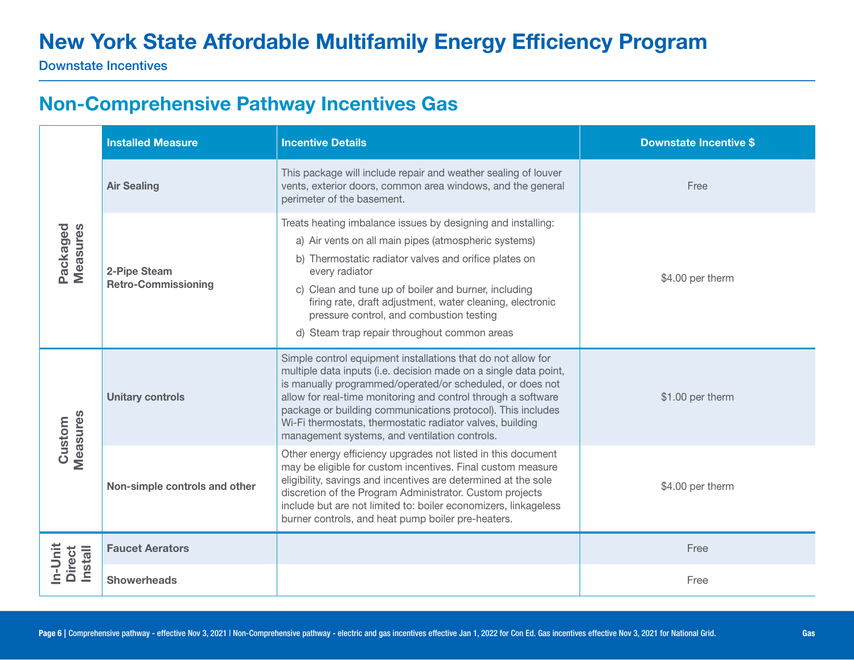Downstate Incentives

### Non-Comprehensive Pathway Incentives Gas

| Packaged<br>Measures         | <b>Installed Measure</b>                   | <b>Incentive Details</b>                                                                                                                                                                                                                                                                                                                                                                                                                    | <b>Downstate Incentive \$</b> |
|------------------------------|--------------------------------------------|---------------------------------------------------------------------------------------------------------------------------------------------------------------------------------------------------------------------------------------------------------------------------------------------------------------------------------------------------------------------------------------------------------------------------------------------|-------------------------------|
|                              | <b>Air Sealing</b>                         | This package will include repair and weather sealing of louver<br>vents, exterior doors, common area windows, and the general<br>perimeter of the basement.                                                                                                                                                                                                                                                                                 | Free                          |
|                              | 2-Pipe Steam<br><b>Retro-Commissioning</b> | Treats heating imbalance issues by designing and installing:<br>a) Air vents on all main pipes (atmospheric systems)<br>b) Thermostatic radiator valves and orifice plates on<br>every radiator<br>c) Clean and tune up of boiler and burner, including<br>firing rate, draft adjustment, water cleaning, electronic<br>pressure control, and combustion testing<br>d) Steam trap repair throughout common areas                            | \$4.00 per therm              |
| Measures<br>Custom           | <b>Unitary controls</b>                    | Simple control equipment installations that do not allow for<br>multiple data inputs (i.e. decision made on a single data point,<br>is manually programmed/operated/or scheduled, or does not<br>allow for real-time monitoring and control through a software<br>package or building communications protocol). This includes<br>Wi-Fi thermostats, thermostatic radiator valves, building<br>management systems, and ventilation controls. | \$1.00 per therm              |
|                              | Non-simple controls and other              | Other energy efficiency upgrades not listed in this document<br>may be eligible for custom incentives. Final custom measure<br>eligibility, savings and incentives are determined at the sole<br>discretion of the Program Administrator. Custom projects<br>include but are not limited to: boiler economizers, linkageless<br>burner controls, and heat pump boiler pre-heaters.                                                          | \$4.00 per therm              |
| In-Unit<br>Direct<br>Install | <b>Faucet Aerators</b>                     |                                                                                                                                                                                                                                                                                                                                                                                                                                             | Free                          |
|                              | <b>Showerheads</b>                         |                                                                                                                                                                                                                                                                                                                                                                                                                                             | Free                          |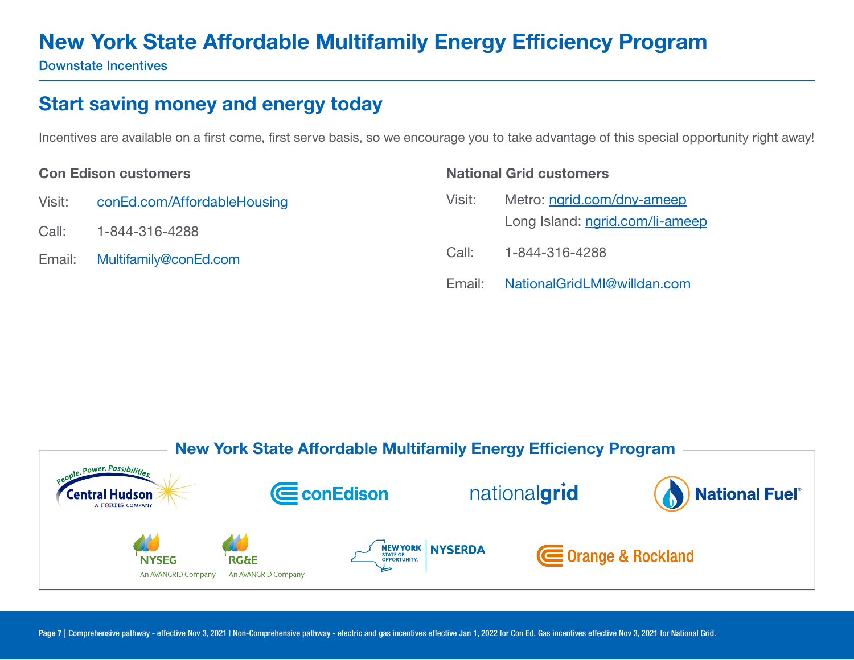Downstate Incentives

### Start saving money and energy today

Incentives are available on a first come, first serve basis, so we encourage you to take advantage of this special opportunity right away!

#### Con Edison customers

- Visit: [conEd.com/AffordableHousing](https://conEd.com/AffordableHousing)
- Call: 1-844-316-4288
- Email: [Multifamily@con](mailto:ConEdMultifamily%40coned.com?subject=)Ed.com

# National Grid customers Visit: Metro: [ngrid.com/dny-ameep](http://ngrid.com/dny-ameep) Long Island: [ngrid.com/li-ameep](http://ngrid.com/li-ameep) Call: 1-844-316-4288 Email: [NationalGridLMI@willdan.com](mailto:NationalGridLMI%40willdan.com?subject=)